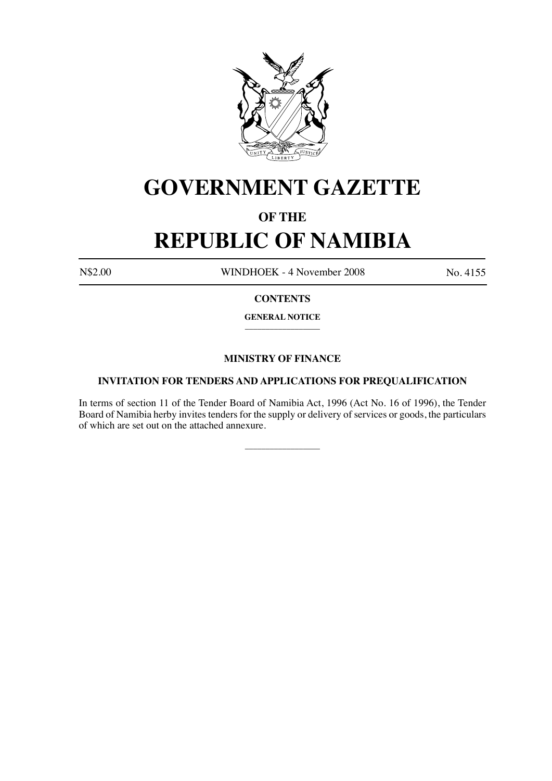

# **GOVERNMENT GAZETTE**

### **OF THE**

## **REPUBLIC OF NAMIBIA**

N\$2.00 WINDHOEK - 4 November 2008 No. 4155

#### **CONTENTS**

**GENERAL NOTICE**  $\overline{\phantom{a}}$  , where  $\overline{\phantom{a}}$ 

### **MINISTRY OF FINANCE**

#### **INVITATION FOR TENDERS AND APPLICATIONS FOR PREQUALIFICATION**

In terms of section 11 of the Tender Board of Namibia Act, 1996 (Act No. 16 of 1996), the Tender Board of Namibia herby invites tenders for the supply or delivery of services or goods, the particulars of which are set out on the attached annexure.

\_\_\_\_\_\_\_\_\_\_\_\_\_\_\_\_\_\_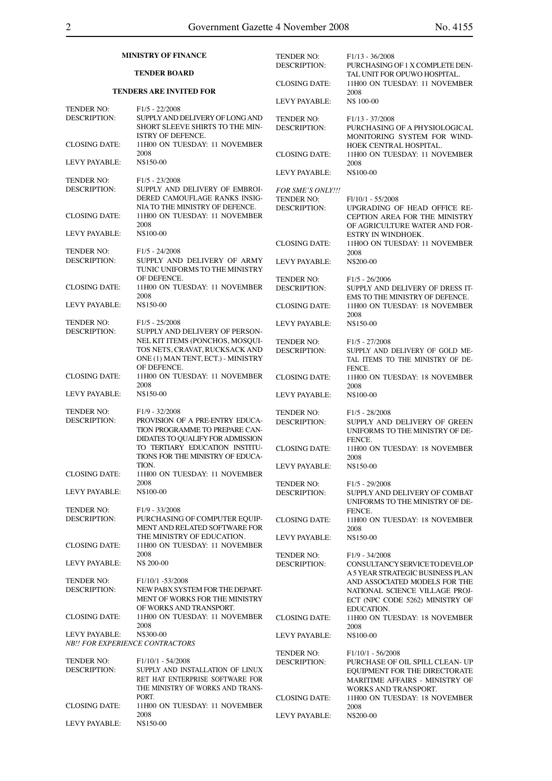| <b>MINISTRY OF FINANCE</b>                              |                                                                                                                                | <b>TENDER NO:</b><br><b>DESCRIPTION:</b> | $F1/13 - 36/2008$<br>PURCHASING OF 1 X COMPLETE DEN-                                                                                              |
|---------------------------------------------------------|--------------------------------------------------------------------------------------------------------------------------------|------------------------------------------|---------------------------------------------------------------------------------------------------------------------------------------------------|
| <b>TENDER BOARD</b>                                     |                                                                                                                                |                                          | TAL UNIT FOR OPUWO HOSPITAL.                                                                                                                      |
| <b>TENDERS ARE INVITED FOR</b>                          |                                                                                                                                | <b>CLOSING DATE:</b>                     | 11H00 ON TUESDAY: 11 NOVEMBER<br>2008                                                                                                             |
| <b>TENDER NO:</b>                                       | $F1/5 - 22/2008$                                                                                                               | LEVY PAYABLE:                            | N\$ 100-00                                                                                                                                        |
| <b>DESCRIPTION:</b>                                     | SUPPLY AND DELIVERY OF LONG AND<br>SHORT SLEEVE SHIRTS TO THE MIN-<br><b>ISTRY OF DEFENCE.</b>                                 | <b>TENDER NO:</b><br><b>DESCRIPTION:</b> | $F1/13 - 37/2008$<br>PURCHASING OF A PHYSIOLOGICAL<br>MONITORING SYSTEM FOR WIND-                                                                 |
| <b>CLOSING DATE:</b>                                    | 11H00 ON TUESDAY: 11 NOVEMBER<br>2008                                                                                          | <b>CLOSING DATE:</b>                     | HOEK CENTRAL HOSPITAL.<br>11H00 ON TUESDAY: 11 NOVEMBER                                                                                           |
| LEVY PAYABLE:                                           | N\$150-00                                                                                                                      |                                          | 2008                                                                                                                                              |
| <b>TENDER NO:</b><br><b>DESCRIPTION:</b>                | $F1/5 - 23/2008$<br>SUPPLY AND DELIVERY OF EMBROI-                                                                             | LEVY PAYABLE:<br>FOR SME'S ONLY!!!       | N\$100-00                                                                                                                                         |
| <b>CLOSING DATE:</b>                                    | DERED CAMOUFLAGE RANKS INSIG-<br>NIA TO THE MINISTRY OF DEFENCE.<br>11H00 ON TUESDAY: 11 NOVEMBER<br>2008                      | <b>TENDER NO:</b><br><b>DESCRIPTION:</b> | $F1/10/1 - 55/2008$<br>UPGRADING OF HEAD OFFICE RE-<br><b>CEPTION AREA FOR THE MINISTRY</b>                                                       |
| <b>LEVY PAYABLE:</b>                                    | N\$100-00                                                                                                                      | <b>CLOSING DATE:</b>                     | OF AGRICULTURE WATER AND FOR-<br>ESTRY IN WINDHOEK.<br>11H0O ON TUESDAY: 11 NOVEMBER                                                              |
| <b>TENDER NO:</b><br><b>DESCRIPTION:</b>                | $F1/5 - 24/2008$<br>SUPPLY AND DELIVERY OF ARMY                                                                                | LEVY PAYABLE:                            | 2008<br>N\$200-00                                                                                                                                 |
|                                                         | TUNIC UNIFORMS TO THE MINISTRY<br>OF DEFENCE.                                                                                  | <b>TENDER NO:</b>                        | $F1/5 - 26/2006$                                                                                                                                  |
| <b>CLOSING DATE:</b>                                    | 11H00 ON TUESDAY: 11 NOVEMBER<br>2008                                                                                          | <b>DESCRIPTION:</b>                      | SUPPLY AND DELIVERY OF DRESS IT-<br>EMS TO THE MINISTRY OF DEFENCE.                                                                               |
| <b>LEVY PAYABLE:</b>                                    | N\$150-00                                                                                                                      | <b>CLOSING DATE:</b>                     | 11H00 ON TUESDAY: 18 NOVEMBER<br>2008                                                                                                             |
| <b>TENDER NO:</b><br><b>DESCRIPTION:</b>                | $F1/5 - 25/2008$<br>SUPPLY AND DELIVERY OF PERSON-                                                                             | LEVY PAYABLE:                            | N\$150-00                                                                                                                                         |
|                                                         | NEL KIT ITEMS (PONCHOS, MOSQUI-<br>TOS NETS, CRAVAT, RUCKSACK AND<br>ONE (1) MAN TENT, ECT.) - MINISTRY<br>OF DEFENCE.         | <b>TENDER NO:</b><br><b>DESCRIPTION:</b> | $F1/5 - 27/2008$<br>SUPPLY AND DELIVERY OF GOLD ME-<br>TAL ITEMS TO THE MINISTRY OF DE-<br>FENCE.                                                 |
| <b>CLOSING DATE:</b>                                    | 11H00 ON TUESDAY: 11 NOVEMBER<br>2008                                                                                          | <b>CLOSING DATE:</b>                     | 11H00 ON TUESDAY: 18 NOVEMBER<br>2008                                                                                                             |
| LEVY PAYABLE:                                           | N\$150-00                                                                                                                      | LEVY PAYABLE:                            | N\$100-00                                                                                                                                         |
| <b>TENDER NO:</b><br><b>DESCRIPTION:</b>                | $F1/9 - 32/2008$<br>PROVISION OF A PRE-ENTRY EDUCA-<br>TION PROGRAMME TO PREPARE CAN-<br>DIDATES TO QUALIFY FOR ADMISSION      | <b>TENDER NO:</b><br><b>DESCRIPTION:</b> | $F1/5 - 28/2008$<br>SUPPLY AND DELIVERY OF GREEN<br>UNIFORMS TO THE MINISTRY OF DE-<br>FENCE.                                                     |
|                                                         | TO TERTIARY EDUCATION INSTITU-<br>TIONS FOR THE MINISTRY OF EDUCA-<br>TION.                                                    | <b>CLOSING DATE:</b>                     | 11H00 ON TUESDAY: 18 NOVEMBER<br>2008<br>N\$150-00                                                                                                |
| <b>CLOSING DATE:</b>                                    | 11H00 ON TUESDAY: 11 NOVEMBER<br>2008                                                                                          | LEVY PAYABLE:<br><b>TENDER NO:</b>       | $F1/5 - 29/2008$                                                                                                                                  |
| LEVY PAYABLE:                                           | N\$100-00                                                                                                                      | <b>DESCRIPTION:</b>                      | SUPPLY AND DELIVERY OF COMBAT<br>UNIFORMS TO THE MINISTRY OF DE-                                                                                  |
| <b>TENDER NO:</b><br><b>DESCRIPTION:</b>                | F1/9 - 33/2008<br>PURCHASING OF COMPUTER EQUIP-                                                                                | <b>CLOSING DATE:</b>                     | FENCE.<br>11H00 ON TUESDAY: 18 NOVEMBER                                                                                                           |
| <b>CLOSING DATE:</b>                                    | MENT AND RELATED SOFTWARE FOR<br>THE MINISTRY OF EDUCATION.<br>11H00 ON TUESDAY: 11 NOVEMBER                                   | <b>LEVY PAYABLE:</b>                     | 2008<br>N\$150-00                                                                                                                                 |
|                                                         | 2008                                                                                                                           | <b>TENDER NO:</b>                        | F1/9 - 34/2008                                                                                                                                    |
| LEVY PAYABLE:                                           | N\$ 200-00                                                                                                                     | <b>DESCRIPTION:</b>                      | CONSULTANCY SERVICE TO DEVELOP<br>A 5 YEAR STRATEGIC BUSINESS PLAN                                                                                |
| <b>TENDER NO:</b><br><b>DESCRIPTION:</b>                | F <sub>1</sub> /10/1 -53/2008<br>NEW PABX SYSTEM FOR THE DEPART-<br>MENT OF WORKS FOR THE MINISTRY<br>OF WORKS AND TRANSPORT.  |                                          | AND ASSOCIATED MODELS FOR THE<br>NATIONAL SCIENCE VILLAGE PROJ-<br>ECT (NPC CODE 5262) MINISTRY OF                                                |
| <b>CLOSING DATE:</b>                                    | 11H00 ON TUESDAY: 11 NOVEMBER<br>2008                                                                                          | <b>CLOSING DATE:</b>                     | <b>EDUCATION.</b><br>11H00 ON TUESDAY: 18 NOVEMBER<br>2008                                                                                        |
| LEVY PAYABLE:<br><b>NB!! FOR EXPERIENCE CONTRACTORS</b> | N\$300-00                                                                                                                      | LEVY PAYABLE:                            | N\$100-00                                                                                                                                         |
| TENDER NO:<br><b>DESCRIPTION:</b>                       | $F1/10/1 - 54/2008$<br>SUPPLY AND INSTALLATION OF LINUX<br>RET HAT ENTERPRISE SOFTWARE FOR<br>THE MINISTRY OF WORKS AND TRANS- | <b>TENDER NO:</b><br><b>DESCRIPTION:</b> | $F1/10/1 - 56/2008$<br>PURCHASE OF OIL SPILL CLEAN- UP<br>EQUIPMENT FOR THE DIRECTORATE<br>MARITIME AFFAIRS - MINISTRY OF<br>WORKS AND TRANSPORT. |
| <b>CLOSING DATE:</b>                                    | PORT.<br>11H00 ON TUESDAY: 11 NOVEMBER                                                                                         | <b>CLOSING DATE:</b>                     | 11H00 ON TUESDAY: 18 NOVEMBER<br>2008                                                                                                             |
| LEVY PAYABLE:                                           | 2008<br>N\$150-00                                                                                                              | LEVY PAYABLE:                            | N\$200-00                                                                                                                                         |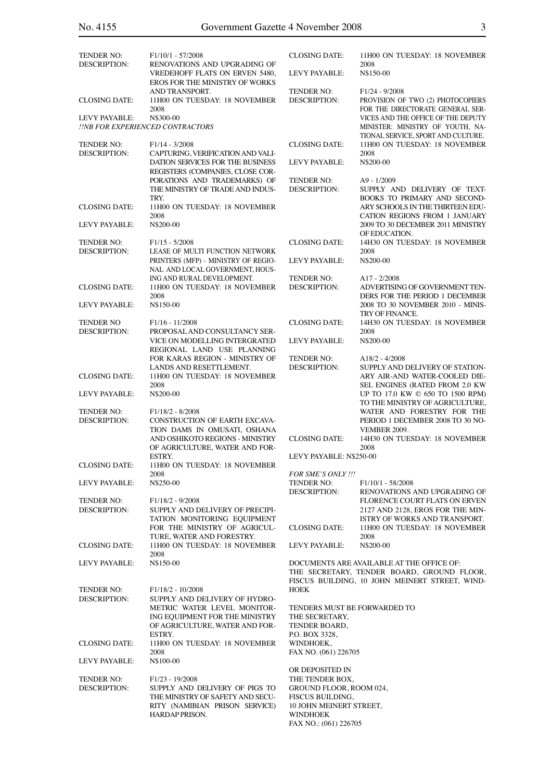| I  |
|----|
|    |
| I  |
| I  |
| ۰, |
|    |
|    |

| <b>TENDER NO:</b>                                 | $F1/10/1 - 57/2008$                                                                                            | <b>CLOSING DATE:</b>                                                                                                                      | 11H00 ON TUESDAY: 18 NOVEMBER                                                                                |
|---------------------------------------------------|----------------------------------------------------------------------------------------------------------------|-------------------------------------------------------------------------------------------------------------------------------------------|--------------------------------------------------------------------------------------------------------------|
| <b>DESCRIPTION:</b>                               | RENOVATIONS AND UPGRADING OF<br><b>VREDEHOFF FLATS ON ERVEN 5480,</b><br><b>EROS FOR THE MINISTRY OF WORKS</b> | <b>LEVY PAYABLE:</b>                                                                                                                      | 2008<br>N\$150-00                                                                                            |
| <b>CLOSING DATE:</b>                              | AND TRANSPORT.<br>11H00 ON TUESDAY: 18 NOVEMBER<br>2008                                                        | <b>TENDER NO:</b><br><b>DESCRIPTION:</b>                                                                                                  | $F1/24 - 9/2008$<br>PROVISION OF TWO (2) PHOTOCOPIERS<br>FOR THE DIRECTORATE GENERAL SER-                    |
| LEVY PAYABLE:<br>!INB FOR EXPERIENCED CONTRACTORS | N\$300-00                                                                                                      |                                                                                                                                           | VICES AND THE OFFICE OF THE DEPUTY<br>MINISTER: MINISTRY OF YOUTH, NA-<br>TIONAL SERVICE, SPORT AND CULTURE. |
| <b>TENDER NO:</b>                                 | $F1/14 - 3/2008$                                                                                               | <b>CLOSING DATE:</b>                                                                                                                      | 11H00 ON TUESDAY: 18 NOVEMBER                                                                                |
| <b>DESCRIPTION:</b>                               | CAPTURING, VERIFICATION AND VALI-<br>DATION SERVICES FOR THE BUSINESS<br>REGISTERS (COMPANIES, CLOSE COR-      | LEVY PAYABLE:                                                                                                                             | 2008<br>N\$200-00                                                                                            |
|                                                   | PORATIONS AND TRADEMARKS) OF<br>THE MINISTRY OF TRADE AND INDUS-                                               | <b>TENDER NO:</b><br><b>DESCRIPTION:</b>                                                                                                  | A9 - 1/2009<br>SUPPLY AND DELIVERY OF TEXT-                                                                  |
| <b>CLOSING DATE:</b>                              | TRY.<br>11H00 ON TUESDAY: 18 NOVEMBER                                                                          |                                                                                                                                           | BOOKS TO PRIMARY AND SECOND-<br>ARY SCHOOLS IN THE THIRTEEN EDU-                                             |
| <b>LEVY PAYABLE:</b>                              | 2008<br>N\$200-00                                                                                              |                                                                                                                                           | CATION REGIONS FROM 1 JANUARY<br>2009 TO 30 DECEMBER 2011 MINISTRY<br>OF EDUCATION.                          |
| <b>TENDER NO:</b><br><b>DESCRIPTION:</b>          | $F1/15 - 5/2008$<br>LEASE OF MULTI FUNCTION NETWORK                                                            | <b>CLOSING DATE:</b>                                                                                                                      | 14H30 ON TUESDAY: 18 NOVEMBER<br>2008                                                                        |
|                                                   | PRINTERS (MFP) - MINISTRY OF REGIO-<br>NAL AND LOCAL GOVERNMENT, HOUS-                                         | <b>LEVY PAYABLE:</b>                                                                                                                      | N\$200-00                                                                                                    |
| <b>CLOSING DATE:</b>                              | ING AND RURAL DEVELOPMENT.<br>11H00 ON TUESDAY: 18 NOVEMBER                                                    | <b>TENDER NO:</b><br><b>DESCRIPTION:</b>                                                                                                  | $A17 - 2/2008$<br>ADVERTISING OF GOVERNMENT TEN-                                                             |
|                                                   | 2008                                                                                                           |                                                                                                                                           | DERS FOR THE PERIOD 1 DECEMBER                                                                               |
| LEVY PAYABLE:                                     | N\$150-00                                                                                                      |                                                                                                                                           | 2008 TO 30 NOVEMBER 2010 - MINIS-<br>TRY OF FINANCE.                                                         |
| <b>TENDER NO</b><br><b>DESCRIPTION:</b>           | $F1/16 - 11/2008$<br>PROPOSAL AND CONSULTANCY SER-                                                             | <b>CLOSING DATE:</b>                                                                                                                      | 14H30 ON TUESDAY: 18 NOVEMBER<br>2008                                                                        |
|                                                   | VICE ON MODELLING INTERGRATED<br>REGIONAL LAND USE PLANNING                                                    | <b>LEVY PAYABLE:</b>                                                                                                                      | N\$200-00                                                                                                    |
|                                                   | FOR KARAS REGION - MINISTRY OF<br>LANDS AND RESETTLEMENT.                                                      | <b>TENDER NO:</b><br><b>DESCRIPTION:</b>                                                                                                  | $A18/2 - 4/2008$<br>SUPPLY AND DELIVERY OF STATION-                                                          |
| <b>CLOSING DATE:</b>                              | 11H00 ON TUESDAY: 18 NOVEMBER                                                                                  |                                                                                                                                           | ARY AIR-AND WATER-COOLED DIE-                                                                                |
| LEVY PAYABLE:                                     | 2008<br>N\$200-00                                                                                              |                                                                                                                                           | SEL ENGINES (RATED FROM 2.0 KW)<br>UP TO 17.0 KW © 650 TO 1500 RPM)<br>TO THE MINISTRY OF AGRICULTURE,       |
| <b>TENDER NO:</b>                                 | $F1/18/2 - 8/2008$                                                                                             |                                                                                                                                           | WATER AND FORESTRY FOR THE                                                                                   |
| <b>DESCRIPTION:</b>                               | <b>CONSTRUCTION OF EARTH EXCAVA-</b><br>TION DAMS IN OMUSATI, OSHANA                                           |                                                                                                                                           | PERIOD 1 DECEMBER 2008 TO 30 NO-<br><b>VEMBER 2009.</b>                                                      |
|                                                   | AND OSHIKOTO REGIONS - MINISTRY<br>OF AGRICULTURE, WATER AND FOR-                                              | <b>CLOSING DATE:</b><br>LEVY PAYABLE: N\$250-00                                                                                           | 14H30 ON TUESDAY: 18 NOVEMBER<br>2008                                                                        |
| <b>CLOSING DATE:</b>                              | ESTRY.<br>11H00 ON TUESDAY: 18 NOVEMBER                                                                        |                                                                                                                                           |                                                                                                              |
| <b>LEVY PAYABLE:</b>                              | 2008<br>N\$250-00                                                                                              | <b>FOR SME'S ONLY!!!</b><br>TENDER NO:                                                                                                    | $F1/10/1 - 58/2008$                                                                                          |
| <b>TENDER NO:</b>                                 | F <sub>1</sub> /18/2 - 9/2008                                                                                  | <b>DESCRIPTION:</b>                                                                                                                       | RENOVATIONS AND UPGRADING OF<br>FLORENCE COURT FLATS ON ERVEN                                                |
| <b>DESCRIPTION:</b>                               | SUPPLY AND DELIVERY OF PRECIPI-<br>TATION MONITORING EQUIPMENT                                                 |                                                                                                                                           | 2127 AND 2128, EROS FOR THE MIN-                                                                             |
|                                                   | FOR THE MINISTRY OF AGRICUL-                                                                                   | <b>CLOSING DATE:</b>                                                                                                                      | ISTRY OF WORKS AND TRANSPORT.<br>11H00 ON TUESDAY: 18 NOVEMBER                                               |
| <b>CLOSING DATE:</b>                              | TURE, WATER AND FORESTRY.<br>11H00 ON TUESDAY: 18 NOVEMBER<br>2008                                             | LEVY PAYABLE:                                                                                                                             | 2008<br>N\$200-00                                                                                            |
| LEVY PAYABLE:                                     | N\$150-00                                                                                                      | DOCUMENTS ARE AVAILABLE AT THE OFFICE OF:<br>THE SECRETARY, TENDER BOARD, GROUND FLOOR,<br>FISCUS BUILDING, 10 JOHN MEINERT STREET, WIND- |                                                                                                              |
| <b>TENDER NO:</b>                                 | $F1/18/2 - 10/2008$                                                                                            | <b>HOEK</b>                                                                                                                               |                                                                                                              |
| <b>DESCRIPTION:</b>                               | SUPPLY AND DELIVERY OF HYDRO-<br>METRIC WATER LEVEL MONITOR-<br>ING EQUIPMENT FOR THE MINISTRY                 | TENDERS MUST BE FORWARDED TO<br>THE SECRETARY,                                                                                            |                                                                                                              |
|                                                   | OF AGRICULTURE, WATER AND FOR-<br>ESTRY.                                                                       | TENDER BOARD,<br>P.O. BOX 3328,                                                                                                           |                                                                                                              |
| <b>CLOSING DATE:</b>                              | 11H00 ON TUESDAY: 18 NOVEMBER<br>2008                                                                          | WINDHOEK,<br>FAX NO. (061) 226705                                                                                                         |                                                                                                              |
| LEVY PAYABLE:                                     | N\$100-00                                                                                                      |                                                                                                                                           |                                                                                                              |
| <b>TENDER NO:</b><br><b>DESCRIPTION:</b>          | $F1/23 - 19/2008$<br>SUPPLY AND DELIVERY OF PIGS TO                                                            | OR DEPOSITED IN<br>THE TENDER BOX,<br>GROUND FLOOR, ROOM 024,                                                                             |                                                                                                              |
|                                                   | THE MINISTRY OF SAFETY AND SECU-<br>RITY (NAMIBIAN PRISON SERVICE)                                             | FISCUS BUILDING,<br>10 JOHN MEINERT STREET,                                                                                               |                                                                                                              |
|                                                   | <b>HARDAP PRISON.</b>                                                                                          | <b>WINDHOEK</b><br>FAX NO.: (061) 226705                                                                                                  |                                                                                                              |